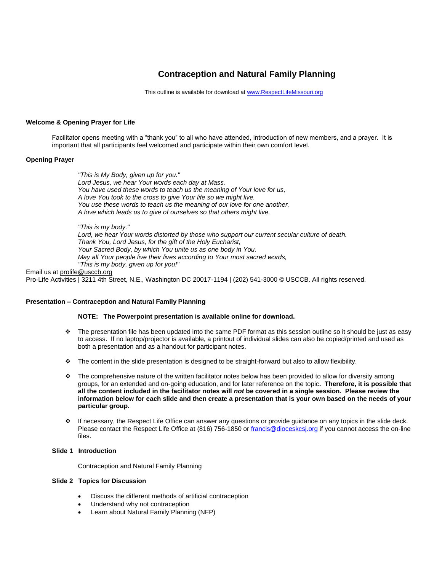# **Contraception and Natural Family Planning**

This outline is available for download a[t www.RespectLifeMissouri.org](http://www.respectlifemissouri.org/)

# **Welcome & Opening Prayer for Life**

Facilitator opens meeting with a "thank you" to all who have attended, introduction of new members, and a prayer. It is important that all participants feel welcomed and participate within their own comfort level.

# **Opening Prayer**

*"This is My Body, given up for you." Lord Jesus, we hear Your words each day at Mass. You have used these words to teach us the meaning of Your love for us, A love You took to the cross to give Your life so we might live. You use these words to teach us the meaning of our love for one another, A love which leads us to give of ourselves so that others might live.*

*"This is my body."* 

*Lord, we hear Your words distorted by those who support our current secular culture of death. Thank You, Lord Jesus, for the gift of the Holy Eucharist, Your Sacred Body, by which You unite us as one body in You. May all Your people live their lives according to Your most sacred words, "This is my body, given up for you!"*

Email us at [prolife@usccb.org](mailto:prolife@usccb.org)

Pro-Life Activities | 3211 4th Street, N.E., Washington DC 20017-1194 | (202) 541-3000 © USCCB. All rights reserved.

# **Presentation – Contraception and Natural Family Planning**

# **NOTE: The Powerpoint presentation is available online for download.**

- $\cdot \cdot$  The presentation file has been updated into the same PDF format as this session outline so it should be just as easy to access. If no laptop/projector is available, a printout of individual slides can also be copied/printed and used as both a presentation and as a handout for participant notes.
- $\cdot \cdot$  The content in the slide presentation is designed to be straight-forward but also to allow flexibility.
- The comprehensive nature of the written facilitator notes below has been provided to allow for diversity among groups, for an extended and on-going education, and for later reference on the topic**. Therefore, it is possible that all the content included in the facilitator notes will** *not* **be covered in a single session. Please review the information below for each slide and then create a presentation that is your own based on the needs of your particular group.**
- If necessary, the Respect Life Office can answer any questions or provide guidance on any topics in the slide deck. Please contact the Respect Life Office at (816) 756-1850 o[r francis@dioceskcsj.org](mailto:francis@dioceskcsj.org) if you cannot access the on-line files.

## **Slide 1 Introduction**

Contraception and Natural Family Planning

# **Slide 2 Topics for Discussion**

- Discuss the different methods of artificial contraception
- Understand why not contraception
- Learn about Natural Family Planning (NFP)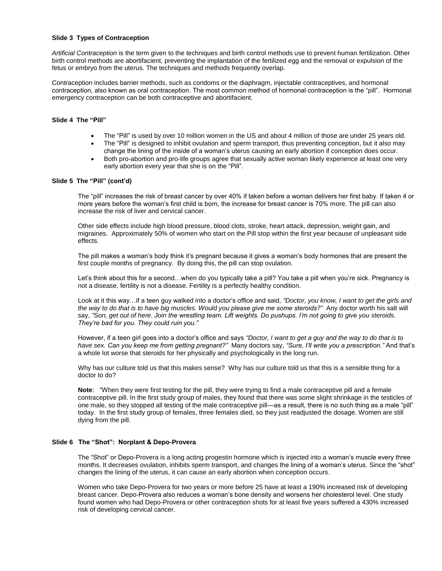# **Slide 3 Types of Contraception**

*Artificial Contraception* is the term given to the techniques and birth control methods use to prevent human fertilization. Other birth control methods are abortifacient, preventing the implantation of the fertilized egg and the removal or expulsion of the fetus or embryo from the uterus. The techniques and methods frequently overlap.

Contraception includes barrier methods, such as condoms or the diaphragm, injectable contraceptives, and hormonal contraception, also known as oral contraception. The most common method of hormonal contraception is the "pill". Hormonal emergency contraception can be both contraceptive and abortifacient.

# **Slide 4 The "Pill"**

- The "Pill" is used by over 10 million women in the US and about 4 million of those are under 25 years old.
- The "Pill" is designed to inhibit ovulation and sperm transport, thus preventing conception, but it also may change the lining of the inside of a woman's uterus causing an early abortion if conception does occur.
- Both pro-abortion and pro-life groups agree that sexually active woman likely experience at least one very early abortion every year that she is on the "Pill".

# **Slide 5 The "Pill" (cont'd)**

The "pill" increases the risk of breast cancer by over 40% if taken before a woman delivers her first baby. If taken 4 or more years before the woman's first child is born, the increase for breast cancer is 70% more. The pill can also increase the risk of liver and cervical cancer.

Other side effects include high blood pressure, blood clots, stroke, heart attack, depression, weight gain, and migraines. Approximately 50% of women who start on the Pill stop within the first year because of unpleasant side effects.

The pill makes a woman's body think it's pregnant because it gives a woman's body hormones that are present the first couple months of pregnancy. By doing this, the pill can stop ovulation.

Let's think about this for a second...when do you typically take a pill? You take a pill when you're sick. Pregnancy is not a disease, fertility is not a disease. Fertility is a perfectly healthy condition.

Look at it this way…if a teen guy walked into a doctor's office and said, *"Doctor, you know, I want to get the girls and the way to do that is to have big muscles. Would you please give me some steroids?"* Any doctor worth his salt will say, *"Son, get out of here. Join the wrestling team. Lift weights. Do pushups. I'm not going to give you steroids. They're bad for you. They could ruin you."*

However, if a teen girl goes into a doctor's office and says *"Doctor, I want to get a guy and the way to do that is to have sex. Can you keep me from getting pregnant?"* Many doctors say, *"Sure, I'll write you a prescription."* And that's a whole lot worse that steroids for her physically and psychologically in the long run.

Why has our culture told us that this makes sense? Why has our culture told us that this is a sensible thing for a doctor to do?

**Note**: "When they were first testing for the pill, they were trying to find a male contraceptive pill and a female contraceptive pill. In the first study group of males, they found that there was some slight shrinkage in the testicles of one male, so they stopped all testing of the male contraceptive pill—as a result, there is no such thing as a male "pill" today. In the first study group of females, three females died, so they just readjusted the dosage. Women are still dying from the pill.

# **Slide 6 The "Shot": Norplant & Depo-Provera**

The "Shot" or Depo-Provera is a long acting progestin hormone which is injected into a woman's muscle every three months. It decreases ovulation, inhibits sperm transport, and changes the lining of a woman's uterus. Since the "shot" changes the lining of the uterus, it can cause an early abortion when conception occurs.

Women who take Depo-Provera for two years or more before 25 have at least a 190% increased risk of developing breast cancer. Depo-Provera also reduces a woman's bone density and worsens her cholesterol level. One study found women who had Depo-Provera or other contraception shots for at least five years suffered a 430% increased risk of developing cervical cancer.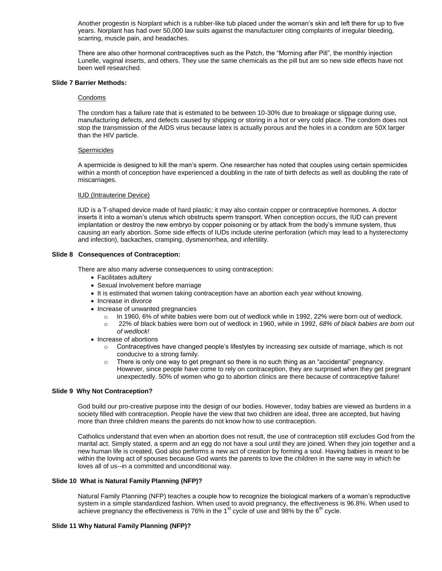Another progestin is Norplant which is a rubber-like tub placed under the woman's skin and left there for up to five years. Norplant has had over 50,000 law suits against the manufacturer citing complaints of irregular bleeding, scarring, muscle pain, and headaches.

There are also other hormonal contraceptives such as the Patch, the "Morning after Pill", the monthly injection Lunelle, vaginal inserts, and others. They use the same chemicals as the pill but are so new side effects have not been well researched.

# **Slide 7 Barrier Methods:**

#### Condoms

The condom has a failure rate that is estimated to be between 10-30% due to breakage or slippage during use, manufacturing defects, and defects caused by shipping or storing in a hot or very cold place. The condom does not stop the transmission of the AIDS virus because latex is actually porous and the holes in a condom are 50X larger than the HIV particle.

#### Spermicides

A spermicide is designed to kill the man's sperm. One researcher has noted that couples using certain spermicides within a month of conception have experienced a doubling in the rate of birth defects as well as doubling the rate of miscarriages.

#### IUD (Intrauterine Device)

IUD is a T-shaped device made of hard plastic; it may also contain copper or contraceptive hormones. A doctor inserts it into a woman's uterus which obstructs sperm transport. When conception occurs, the IUD can prevent implantation or destroy the new embryo by copper poisoning or by attack from the body's immune system, thus causing an early abortion. Some side effects of IUDs include uterine perforation (which may lead to a hysterectomy and infection), backaches, cramping, dysmenorrhea, and infertility.

# **Slide 8 Consequences of Contraception:**

There are also many adverse consequences to using contraception:

- Facilitates adultery
- Sexual involvement before marriage
- It is estimated that women taking contraception have an abortion each year without knowing.
- Increase in divorce
- Increase of unwanted pregnancies
	- o In 1960, 6% of white babies were born out of wedlock while in 1992, 22% were born out of wedlock.
	- o 22% of black babies were born out of wedlock in 1960, while in 1992, *68% of black babies are born out of wedlock!*
- Increase of abortions
	- o Contraceptives have changed people's lifestyles by increasing sex outside of marriage, which is not conducive to a strong family.
	- $\circ$  There is only one way to get pregnant so there is no such thing as an "accidental" pregnancy. However, since people have come to rely on contraception, they are surprised when they get pregnant unexpectedly. 50% of women who go to abortion clinics are there because of contraceptive failure!

# **Slide 9 Why Not Contraception?**

God build our pro-creative purpose into the design of our bodies. However, today babies are viewed as burdens in a society filled with contraception. People have the view that two children are ideal, three are accepted, but having more than three children means the parents do not know how to use contraception.

Catholics understand that even when an abortion does not result, the use of contraception still excludes God from the marital act. Simply stated, a sperm and an egg do not have a soul until they are joined. When they join together and a new human life is created, God also performs a new act of creation by forming a soul. Having babies is meant to be within the loving act of spouses because God wants the parents to love the children in the same way in which he loves all of us--in a committed and unconditional way.

## **Slide 10 What is Natural Family Planning (NFP)?**

Natural Family Planning (NFP) teaches a couple how to recognize the biological markers of a woman's reproductive system in a simple standardized fashion. When used to avoid pregnancy, the effectiveness is 96.8%. When used to achieve pregnancy the effectiveness is 76% in the 1 $\mathrm{^{st}}$  cycle of use and 98% by the  $6\mathrm{^{th}}$  cycle.

## **Slide 11 Why Natural Family Planning (NFP)?**